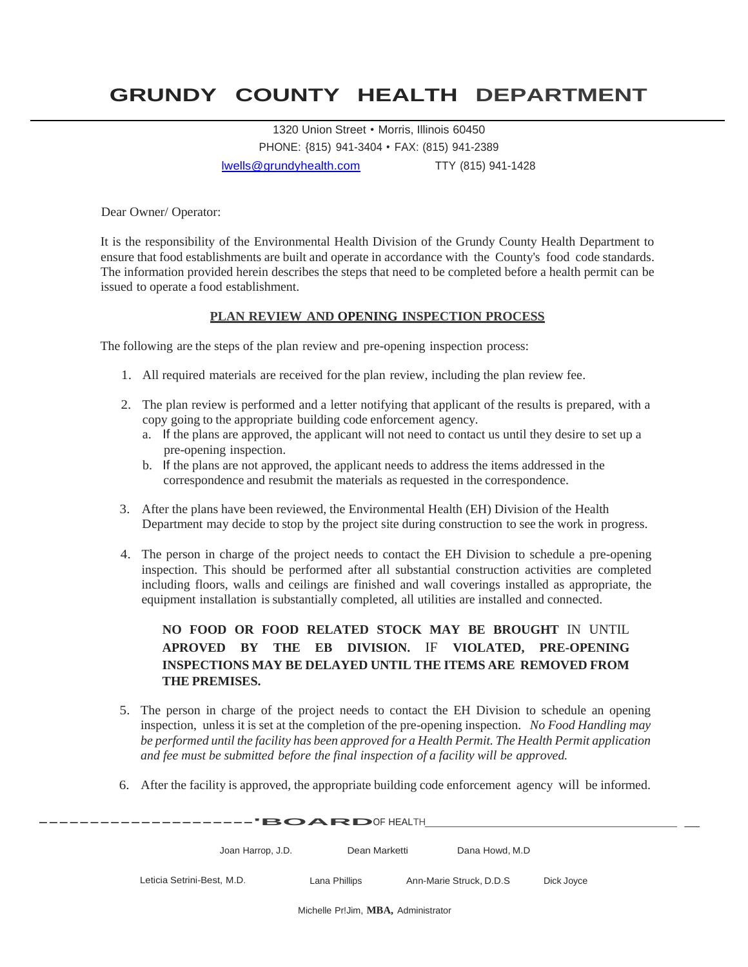# **GRUNDY COUNTY HEALTH DEPARTMENT**

1320 Union Street • Morris, Illinois 60450 PHONE: {815) 941-3404 • FAX: (815) 941-2389 [lwells@grundyhealth.com](mailto:lwells@grundyhealth.com) TTY (815) 941-1428

Dear Owner/ Operator:

It is the responsibility of the Environmental Health Division of the Grundy County Health Department to ensure that food establishments are built and operate in accordance with the County's food code standards. The information provided herein describes the steps that need to be completed before a health permit can be issued to operate a food establishment.

#### **PLAN REVIEW AND OPENING INSPECTION PROCESS**

The following are the steps of the plan review and pre-opening inspection process:

- 1. All required materials are received for the plan review, including the plan review fee.
- 2. The plan review is performed and a letter notifying that applicant of the results is prepared, with a copy going to the appropriate building code enforcement agency.
	- a. If the plans are approved, the applicant will not need to contact us until they desire to set up a pre-opening inspection.
	- b. If the plans are not approved, the applicant needs to address the items addressed in the correspondence and resubmit the materials as requested in the correspondence.
- 3. After the plans have been reviewed, the Environmental Health (EH) Division of the Health Department may decide to stop by the project site during construction to see the work in progress.
- 4. The person in charge of the project needs to contact the EH Division to schedule a pre-opening inspection. This should be performed after all substantial construction activities are completed including floors, walls and ceilings are finished and wall coverings installed as appropriate, the equipment installation is substantially completed, all utilities are installed and connected.

### **NO FOOD OR FOOD RELATED STOCK MAY BE BROUGHT** IN UNTIL **APROVED BY THE EB DIVISION.** IF **VIOLATED, PRE-OPENING INSPECTIONS MAY BE DELAYED UNTIL THE ITEMS ARE REMOVED FROM THE PREMISES.**

- 5. The person in charge of the project needs to contact the EH Division to schedule an opening inspection, unless it is set at the completion of the pre-opening inspection. *No Food Handling may be performed until the facility has been approved for a Health Permit. The Health Permit application and fee must be submitted before the final inspection of a facility will be approved.*
- 6. After the facility is approved, the appropriate building code enforcement agency will be informed.

| $\mathbf{\cdot}$ BOARDOF HEALTH |                   |               |                         |            |  |  |  |  |
|---------------------------------|-------------------|---------------|-------------------------|------------|--|--|--|--|
|                                 | Joan Harrop, J.D. | Dean Marketti | Dana Howd, M.D          |            |  |  |  |  |
| Leticia Setrini-Best, M.D.      |                   | Lana Phillips | Ann-Marie Struck, D.D.S | Dick Joyce |  |  |  |  |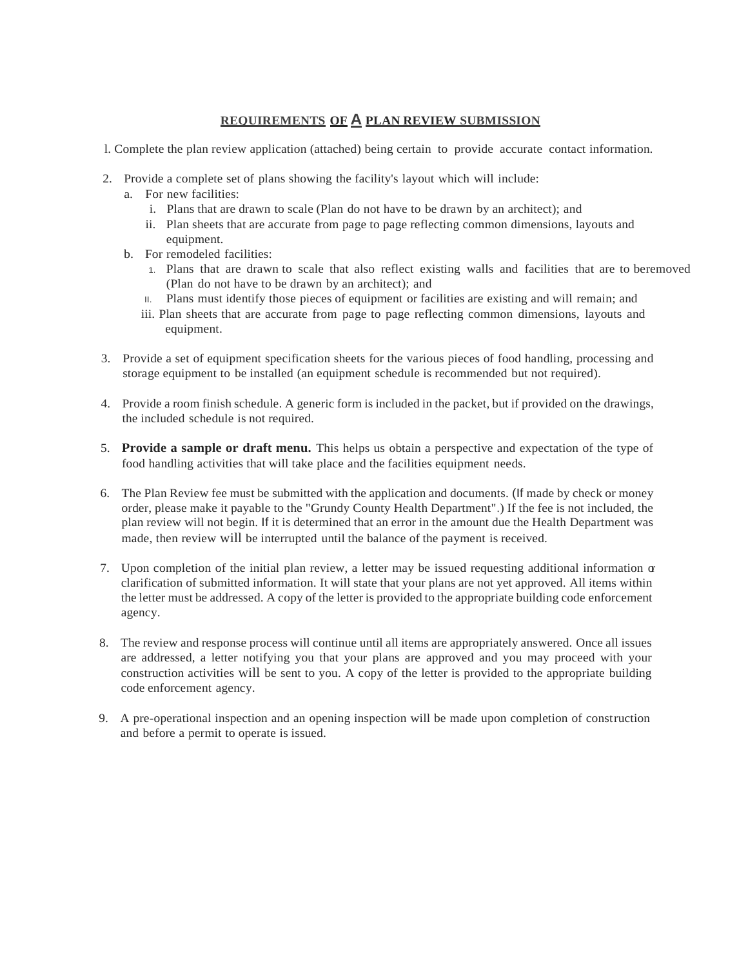#### **REQUIREMENTS OF A PLAN REVIEW SUBMISSION**

- l. Complete the plan review application (attached) being certain to provide accurate contact information.
- 2. Provide a complete set of plans showing the facility's layout which will include:
	- a. For new facilities:
		- i. Plans that are drawn to scale (Plan do not have to be drawn by an architect); and
		- ii. Plan sheets that are accurate from page to page reflecting common dimensions, layouts and equipment.
	- b. For remodeled facilities:
		- 1. Plans that are drawn to scale that also reflect existing walls and facilities that are to beremoved (Plan do not have to be drawn by an architect); and
		- II. Plans must identify those pieces of equipment or facilities are existing and will remain; and
		- iii. Plan sheets that are accurate from page to page reflecting common dimensions, layouts and equipment.
- 3. Provide a set of equipment specification sheets for the various pieces of food handling, processing and storage equipment to be installed (an equipment schedule is recommended but not required).
- 4. Provide a room finish schedule. A generic form is included in the packet, but if provided on the drawings, the included schedule is not required.
- 5. **Provide a sample or draft menu.** This helps us obtain a perspective and expectation of the type of food handling activities that will take place and the facilities equipment needs.
- 6. The Plan Review fee must be submitted with the application and documents. (If made by check or money order, please make it payable to the "Grundy County Health Department".) If the fee is not included, the plan review will not begin. If it is determined that an error in the amount due the Health Department was made, then review will be interrupted until the balance of the payment is received.
- 7. Upon completion of the initial plan review, a letter may be issued requesting additional information or clarification of submitted information. It will state that your plans are not yet approved. All items within the letter must be addressed. A copy of the letter is provided to the appropriate building code enforcement agency.
- 8. The review and response process will continue until all items are appropriately answered. Once all issues are addressed, a letter notifying you that your plans are approved and you may proceed with your construction activities will be sent to you. A copy of the letter is provided to the appropriate building code enforcement agency.
- 9. A pre-operational inspection and an opening inspection will be made upon completion of construction and before a permit to operate is issued.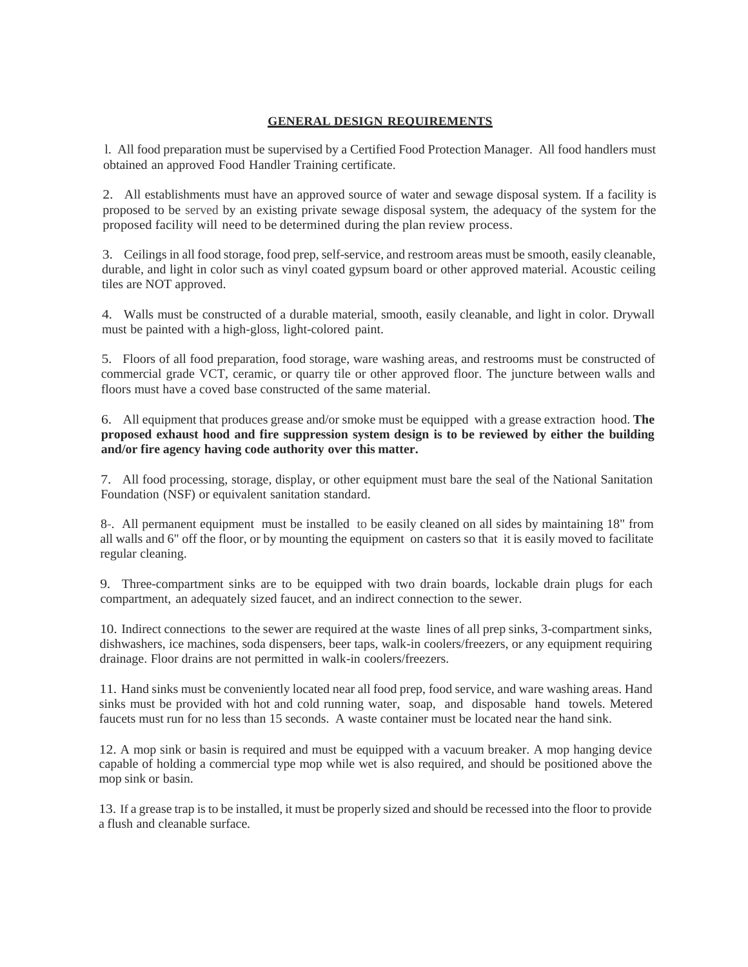#### **GENERAL DESIGN REQUIREMENTS**

l. All food preparation must be supervised by a Certified Food Protection Manager. All food handlers must obtained an approved Food Handler Training certificate.

2. All establishments must have an approved source of water and sewage disposal system. If a facility is proposed to be served by an existing private sewage disposal system, the adequacy of the system for the proposed facility will need to be determined during the plan review process.

3. Ceilings in all food storage, food prep, self-service, and restroom areas must be smooth, easily cleanable, durable, and light in color such as vinyl coated gypsum board or other approved material. Acoustic ceiling tiles are NOT approved.

4. Walls must be constructed of a durable material, smooth, easily cleanable, and light in color. Drywall must be painted with a high-gloss, light-colored paint.

5. Floors of all food preparation, food storage, ware washing areas, and restrooms must be constructed of commercial grade VCT, ceramic, or quarry tile or other approved floor. The juncture between walls and floors must have a coved base constructed of the same material.

6. All equipment that produces grease and/or smoke must be equipped with a grease extraction hood. **The proposed exhaust hood and fire suppression system design is to be reviewed by either the building and/or fire agency having code authority over this matter.**

7. All food processing, storage, display, or other equipment must bare the seal of the National Sanitation Foundation (NSF) or equivalent sanitation standard.

8-. All permanent equipment must be installed to be easily cleaned on all sides by maintaining 18" from all walls and 6" off the floor, or by mounting the equipment on casters so that it is easily moved to facilitate regular cleaning.

9. Three-compartment sinks are to be equipped with two drain boards, lockable drain plugs for each compartment, an adequately sized faucet, and an indirect connection to the sewer.

10. Indirect connections to the sewer are required at the waste lines of all prep sinks, 3-compartment sinks, dishwashers, ice machines, soda dispensers, beer taps, walk-in coolers/freezers, or any equipment requiring drainage. Floor drains are not permitted in walk-in coolers/freezers.

11. Hand sinks must be conveniently located near all food prep, food service, and ware washing areas. Hand sinks must be provided with hot and cold running water, soap, and disposable hand towels. Metered faucets must run for no less than 15 seconds. A waste container must be located near the hand sink.

12. A mop sink or basin is required and must be equipped with a vacuum breaker. A mop hanging device capable of holding a commercial type mop while wet is also required, and should be positioned above the mop sink or basin.

13. If a grease trap is to be installed, it must be properly sized and should be recessed into the floor to provide a flush and cleanable surface.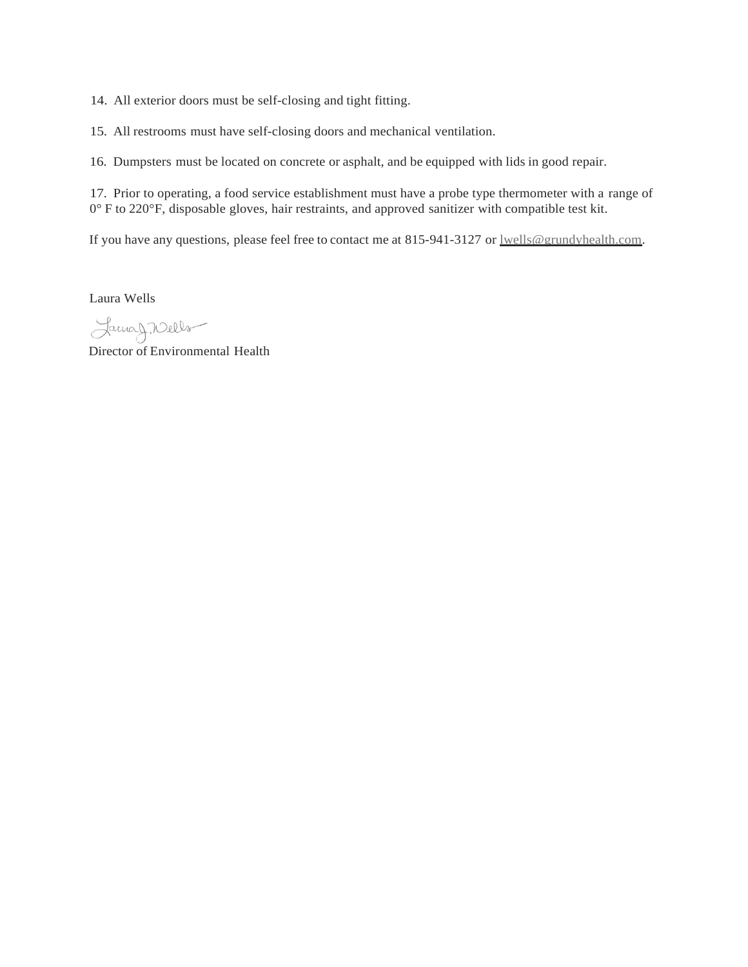14. All exterior doors must be self-closing and tight fitting.

15. All restrooms must have self-closing doors and mechanical ventilation.

16. Dumpsters must be located on concrete or asphalt, and be equipped with lids in good repair.

17. Prior to operating, a food service establishment must have a probe type thermometer with a range of 0° F to 220°F, disposable gloves, hair restraints, and approved sanitizer with compatible test kit.

If you have any questions, please feel free to contact me at 815-941-3127 or lwells@grundyhealth.com.

Laura Wells

LamaJ. Wells

Director of Environmental Health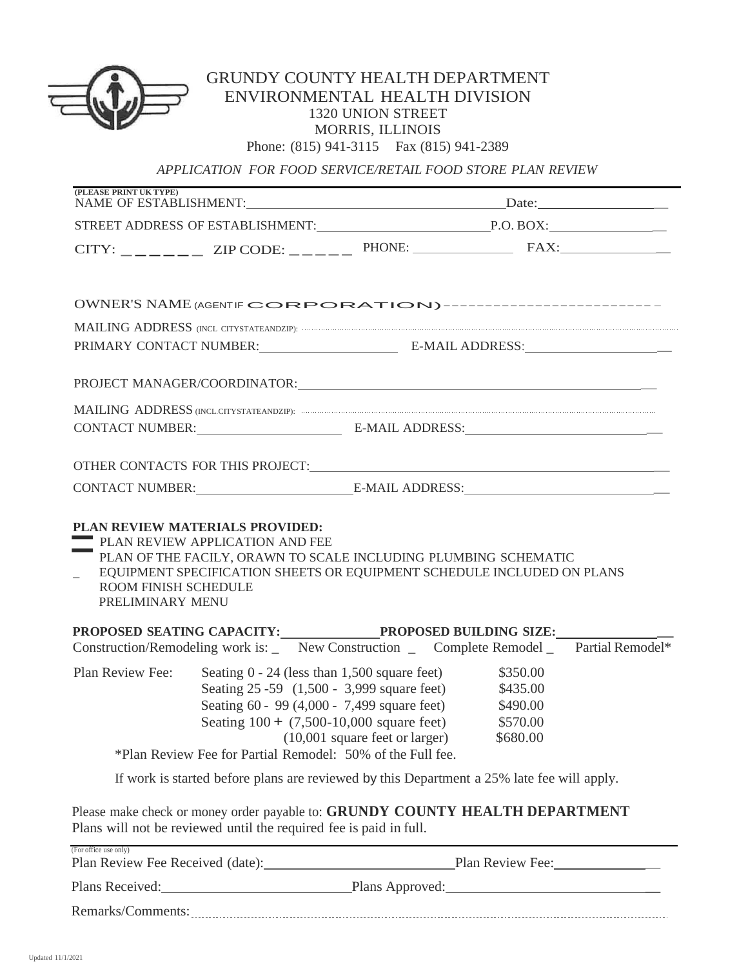

## GRUNDY COUNTY HEALTH DEPARTMENT ENVIRONMENTAL HEALTH DIVISION 1320 UNION STREET MORRIS, ILLINOIS Phone: (815) 941-3115 Fax (815) 941-2389

*APPLICATION FOR FOOD SERVICE/RETAIL FOOD STORE PLAN REVIEW*

| (PLEASE PRINT UK TYPE)                                                         |                                                                                                                                                                                             |                                   |                                                          |  |
|--------------------------------------------------------------------------------|---------------------------------------------------------------------------------------------------------------------------------------------------------------------------------------------|-----------------------------------|----------------------------------------------------------|--|
|                                                                                |                                                                                                                                                                                             |                                   |                                                          |  |
|                                                                                |                                                                                                                                                                                             |                                   |                                                          |  |
|                                                                                | OWNER'S NAME (AGENTIF CORPORATION)---------------------------                                                                                                                               |                                   |                                                          |  |
|                                                                                |                                                                                                                                                                                             |                                   |                                                          |  |
|                                                                                |                                                                                                                                                                                             |                                   |                                                          |  |
|                                                                                |                                                                                                                                                                                             |                                   |                                                          |  |
|                                                                                |                                                                                                                                                                                             |                                   |                                                          |  |
|                                                                                | CONTACT NUMBER:<br>E-MAIL ADDRESS:<br>E-MAIL ADDRESS:                                                                                                                                       |                                   |                                                          |  |
|                                                                                |                                                                                                                                                                                             |                                   |                                                          |  |
|                                                                                |                                                                                                                                                                                             |                                   |                                                          |  |
| $\mathbb{R}^{\mathbb{Z}^{\times}}$<br>ROOM FINISH SCHEDULE<br>PRELIMINARY MENU | EQUIPMENT SPECIFICATION SHEETS OR EQUIPMENT SCHEDULE INCLUDED ON PLANS                                                                                                                      |                                   |                                                          |  |
|                                                                                | Construction/Remodeling work is: _ New Construction _ Complete Remodel _ Partial Remodel*                                                                                                   |                                   |                                                          |  |
| Plan Review Fee:                                                               | Seating $0 - 24$ (less than 1,500 square feet)<br>Seating 25 - 59 (1,500 - 3,999 square feet)<br>Seating 60 - 99 (4,000 - 7,499 square feet)<br>Seating $100 + (7,500-10,000)$ square feet) | $(10,001)$ square feet or larger) | \$350.00<br>\$435.00<br>\$490.00<br>\$570.00<br>\$680.00 |  |
|                                                                                | *Plan Review Fee for Partial Remodel: 50% of the Full fee.                                                                                                                                  |                                   |                                                          |  |
|                                                                                | If work is started before plans are reviewed by this Department a 25% late fee will apply.                                                                                                  |                                   |                                                          |  |
|                                                                                | Please make check or money order payable to: GRUNDY COUNTY HEALTH DEPARTMENT<br>Plans will not be reviewed until the required fee is paid in full.                                          |                                   |                                                          |  |
| (For office use only)                                                          |                                                                                                                                                                                             |                                   |                                                          |  |
| Plans Received:                                                                | <u> 1989 - Johann Barbara, martxa alemaniar a</u>                                                                                                                                           | Plans Approved: New York 1997     |                                                          |  |

| $\lambda$<br>----- |
|--------------------|
|--------------------|